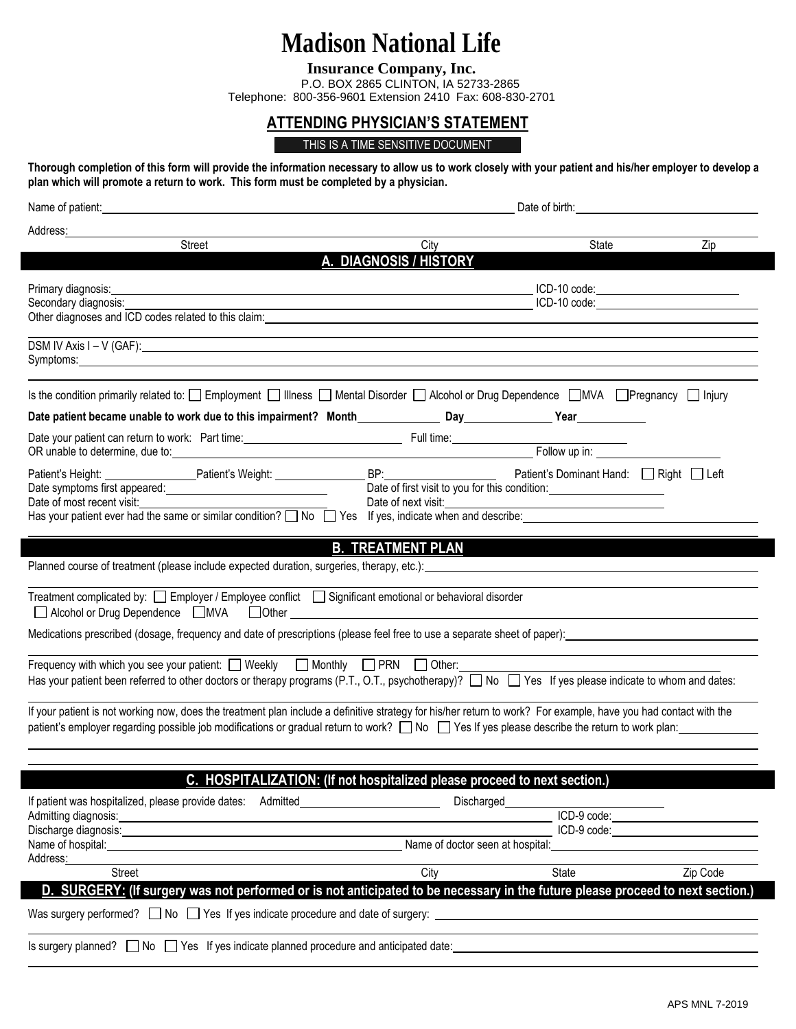## **Madison National Life**

**Insurance Company, Inc.**

P.O. BOX 2865 CLINTON, IA 52733-2865 Telephone: 800-356-9601 Extension 2410 Fax: 608-830-2701

## **ATTENDING PHYSICIAN'S STATEMENT**

## THIS IS A TIME SENSITIVE DOCUMENT

**Thorough completion of this form will provide the information necessary to allow us to work closely with your patient and his/her employer to develop a plan which will promote a return to work. This form must be completed by a physician.**

| Name of patient: experience and the second contract of the second contract of the second contract of the second contract of the second contract of the second contract of the second contract of the second contract of the se                         | Date of birth: Note of the Second Second Second Second Second Second Second Second Second Second Second Second Second Second Second Second Second Second Second Second Second Second Second Second Second Second Second Second |                                  |          |
|--------------------------------------------------------------------------------------------------------------------------------------------------------------------------------------------------------------------------------------------------------|--------------------------------------------------------------------------------------------------------------------------------------------------------------------------------------------------------------------------------|----------------------------------|----------|
| Address:                                                                                                                                                                                                                                               |                                                                                                                                                                                                                                |                                  |          |
| Street                                                                                                                                                                                                                                                 | City<br>A. DIAGNOSIS / HISTORY                                                                                                                                                                                                 | State                            | Zip      |
|                                                                                                                                                                                                                                                        |                                                                                                                                                                                                                                |                                  |          |
| Primary diagnosis:                                                                                                                                                                                                                                     |                                                                                                                                                                                                                                | $ICD-10 code:$                   |          |
| Secondary diagnosis:<br>Other diagnoses and ICD codes related to this claim: example and the state of the state of the state of the state of the state of the state of the state of the state of the state of the state of the state of the state of t |                                                                                                                                                                                                                                | ICD-10 code: www.assettation.com |          |
|                                                                                                                                                                                                                                                        |                                                                                                                                                                                                                                |                                  |          |
| Symptoms: Example 2014 and 2014 and 2014 and 2014 and 2014 and 2014 and 2014 and 2014 and 2014 and 2014 and 20                                                                                                                                         |                                                                                                                                                                                                                                |                                  |          |
| Is the condition primarily related to: $\Box$ Employment $\Box$ Illness $\Box$ Mental Disorder $\Box$ Alcohol or Drug Dependence $\Box$ MVA $\Box$ Pregnancy $\Box$ Injury                                                                             |                                                                                                                                                                                                                                |                                  |          |
|                                                                                                                                                                                                                                                        |                                                                                                                                                                                                                                |                                  |          |
|                                                                                                                                                                                                                                                        |                                                                                                                                                                                                                                |                                  |          |
|                                                                                                                                                                                                                                                        |                                                                                                                                                                                                                                |                                  |          |
|                                                                                                                                                                                                                                                        | Date of first visit to you for this condition:                                                                                                                                                                                 |                                  |          |
| Date of most recent visit:                                                                                                                                                                                                                             |                                                                                                                                                                                                                                |                                  |          |
| Has your patient ever had the same or similar condition? $\Box$ No $\Box$ Yes If yes, indicate when and describe:                                                                                                                                      |                                                                                                                                                                                                                                |                                  |          |
|                                                                                                                                                                                                                                                        | <b>B. TREATMENT PLAN</b>                                                                                                                                                                                                       |                                  |          |
| Planned course of treatment (please include expected duration, surgeries, therapy, etc.): entitled and research of the state of the state of the state of the state of the state of the state of the state of the state of the                         |                                                                                                                                                                                                                                |                                  |          |
|                                                                                                                                                                                                                                                        |                                                                                                                                                                                                                                |                                  |          |
| Treatment complicated by: $\Box$ Employer / Employee conflict $\Box$ Significant emotional or behavioral disorder                                                                                                                                      |                                                                                                                                                                                                                                |                                  |          |
| Medications prescribed (dosage, frequency and date of prescriptions (please feel free to use a separate sheet of paper):                                                                                                                               |                                                                                                                                                                                                                                |                                  |          |
| Frequency with which you see your patient: $\Box$ Weekly $\Box$ Monthly $\Box$ PRN $\Box$ Other:                                                                                                                                                       |                                                                                                                                                                                                                                |                                  |          |
| Has your patient been referred to other doctors or therapy programs (P.T., O.T., psychotherapy)? $\Box$ No $\Box$ Yes If yes please indicate to whom and dates:                                                                                        |                                                                                                                                                                                                                                |                                  |          |
| If your patient is not working now, does the treatment plan include a definitive strategy for his/her return to work? For example, have you had contact with the                                                                                       |                                                                                                                                                                                                                                |                                  |          |
| patient's employer regarding possible job modifications or gradual return to work? No Yes If yes please describe the return to work plan:                                                                                                              |                                                                                                                                                                                                                                |                                  |          |
|                                                                                                                                                                                                                                                        |                                                                                                                                                                                                                                |                                  |          |
|                                                                                                                                                                                                                                                        | C. HOSPITALIZATION: (If not hospitalized please proceed to next section.)                                                                                                                                                      |                                  |          |
|                                                                                                                                                                                                                                                        |                                                                                                                                                                                                                                |                                  |          |
| If patient was hospitalized, please provide dates: Admitted<br>Admitting diagnosis:<br><u> 1990 - Jan Barat, prima po</u>                                                                                                                              | Discharged                                                                                                                                                                                                                     | ICD-9 code:                      |          |
| Discharge diagnosis:                                                                                                                                                                                                                                   |                                                                                                                                                                                                                                | ICD-9 code:                      |          |
| Name of hospital:<br>Address:                                                                                                                                                                                                                          | Name of doctor seen at hospital:                                                                                                                                                                                               |                                  |          |
| <b>Street</b>                                                                                                                                                                                                                                          | City                                                                                                                                                                                                                           | <b>State</b>                     | Zip Code |
| D. SURGERY: (If surgery was not performed or is not anticipated to be necessary in the future please proceed to next section.)                                                                                                                         |                                                                                                                                                                                                                                |                                  |          |
| Was surgery performed? $\Box$ No $\Box$ Yes If yes indicate procedure and date of surgery: $\Box$                                                                                                                                                      |                                                                                                                                                                                                                                |                                  |          |
|                                                                                                                                                                                                                                                        |                                                                                                                                                                                                                                |                                  |          |

1 Is surgery planned?  $\Box$  No  $\Box$  Yes If yes indicate planned procedure and anticipated date:  $\Box$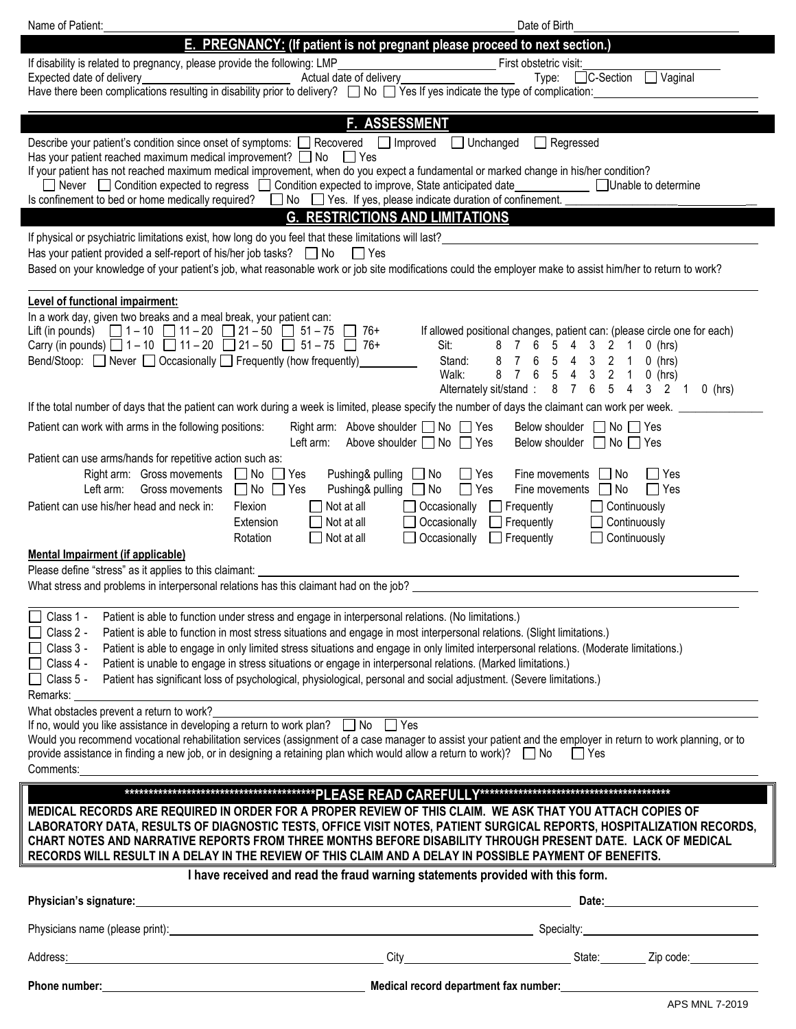| Name of Patient:<br>Date of Birth                                                                                                                                                                                                                                                                                                                                                                                                                                                                                                                                                                                                                                                                                                          |  |  |  |
|--------------------------------------------------------------------------------------------------------------------------------------------------------------------------------------------------------------------------------------------------------------------------------------------------------------------------------------------------------------------------------------------------------------------------------------------------------------------------------------------------------------------------------------------------------------------------------------------------------------------------------------------------------------------------------------------------------------------------------------------|--|--|--|
| E. PREGNANCY: (If patient is not pregnant please proceed to next section.)                                                                                                                                                                                                                                                                                                                                                                                                                                                                                                                                                                                                                                                                 |  |  |  |
| If disability is related to pregnancy, please provide the following: LMP<br>First obstetric visit:<br>Actual date of delivery<br>C-Section<br>Vaginal<br>Expected date of delivery<br>Type:<br><u> 1989 - Johann Barn, fransk politik (</u><br>Have there been complications resulting in disability prior to delivery? $\Box$ No $\Box$ Yes If yes indicate the type of complication:                                                                                                                                                                                                                                                                                                                                                     |  |  |  |
|                                                                                                                                                                                                                                                                                                                                                                                                                                                                                                                                                                                                                                                                                                                                            |  |  |  |
| F. ASSESSMENT<br>Describe your patient's condition since onset of symptoms: □ Recovered □ Improved<br>$\Box$ Unchanged<br>Regressed<br>Has your patient reached maximum medical improvement? $\Box$ No<br>I I Yes<br>If your patient has not reached maximum medical improvement, when do you expect a fundamental or marked change in his/her condition?<br>□ Never □ Condition expected to regress □ Condition expected to improve, State anticipated date<br>Unable to determine<br>Is confinement to bed or home medically required?<br>No $\Box$ Yes. If yes, please indicate duration of confinement.                                                                                                                                |  |  |  |
| <b>G. RESTRICTIONS AND LIMITATIONS</b>                                                                                                                                                                                                                                                                                                                                                                                                                                                                                                                                                                                                                                                                                                     |  |  |  |
| If physical or psychiatric limitations exist, how long do you feel that these limitations will last?<br>Has your patient provided a self-report of his/her job tasks? $\Box$ No<br>l lYes<br>Based on your knowledge of your patient's job, what reasonable work or job site modifications could the employer make to assist him/her to return to work?                                                                                                                                                                                                                                                                                                                                                                                    |  |  |  |
| <b>Level of functional impairment:</b>                                                                                                                                                                                                                                                                                                                                                                                                                                                                                                                                                                                                                                                                                                     |  |  |  |
| In a work day, given two breaks and a meal break, your patient can:<br>Lift (in pounds) $\Box$ 1 – 10 $\Box$ 11 – 20 $\Box$ 21 – 50 $\Box$ 51 – 75 $\Box$ 76+<br>If allowed positional changes, patient can: (please circle one for each)<br>Carry (in pounds) $\Box$ 1-10 $\Box$ 11-20 $\Box$ 21-50 $\Box$ 51-75 $\Box$ 76+<br>5 4 3 2<br>Sit:<br>8<br>7<br>6<br>$\mathbf{1}$<br>$0$ (hrs)<br>Bend/Stoop: $\Box$ Never $\Box$ Occasionally $\Box$ Frequently (how frequently)<br>$\overline{7}$<br>6 5<br>Stand:<br>8<br>4 3 2 1<br>$0$ (hrs)<br>8 7 6<br>5<br>Walk:<br>4<br>$\mathbf{3}$<br>$\overline{2}$<br>$\overline{1}$<br>$0$ (hrs)<br>8 7<br>$5\phantom{.0}$<br>$6\phantom{.0}$<br>4 3 2 1<br>Alternately sit/stand:<br>$0$ (hrs) |  |  |  |
| If the total number of days that the patient can work during a week is limited, please specify the number of days the claimant can work per week.                                                                                                                                                                                                                                                                                                                                                                                                                                                                                                                                                                                          |  |  |  |
| Patient can work with arms in the following positions:<br>Right arm: Above shoulder $\Box$ No $\Box$ Yes<br>Below shoulder     No     Yes<br>Left arm:<br>Above shoulder U No L<br>l Yes<br>Below shoulder $\Box$ No $\Box$ Yes                                                                                                                                                                                                                                                                                                                                                                                                                                                                                                            |  |  |  |
| Patient can use arms/hands for repetitive action such as:<br>Right arm: Gross movements<br>Pushing& pulling<br>$\Box$ No $\Box$ Yes<br>$\Box$ Yes<br>$\Box$ No<br>∐ Yes<br>Fine movements<br>. No<br>Left arm:<br>$\Box$ No $\Box$ Yes<br>Pushing& pulling<br>Gross movements<br>$\Box$ No<br>l Yes<br>$\Box$ Yes<br>Fine movements<br>No<br>Patient can use his/her head and neck in:<br>Flexion<br>Not at all<br>Occasionally<br>$\Box$ Frequently<br>$\Box$ Continuously<br>Continuously<br>Extension<br>Not at all<br>Occasionally<br>$\Box$ Frequently<br>Occasionally<br>$\Box$ Frequently<br>$\Box$ Continuously<br>Rotation<br>$\Box$ Not at all<br>Mental Impairment (if applicable)                                              |  |  |  |
| Please define "stress" as it applies to this claimant:<br>What stress and problems in interpersonal relations has this claimant had on the job?                                                                                                                                                                                                                                                                                                                                                                                                                                                                                                                                                                                            |  |  |  |
| Class 1 -<br>Patient is able to function under stress and engage in interpersonal relations. (No limitations.)<br>Class 2 -<br>Patient is able to function in most stress situations and engage in most interpersonal relations. (Slight limitations.)<br>Class 3 -<br>Patient is able to engage in only limited stress situations and engage in only limited interpersonal relations. (Moderate limitations.)<br>Patient is unable to engage in stress situations or engage in interpersonal relations. (Marked limitations.)<br>Class 4 -<br>Patient has significant loss of psychological, physiological, personal and social adjustment. (Severe limitations.)<br>Class 5 -<br>Remarks:                                                |  |  |  |
| What obstacles prevent a return to work?<br>If no, would you like assistance in developing a return to work plan?<br>I No  Yes<br>Would you recommend vocational rehabilitation services (assignment of a case manager to assist your patient and the employer in return to work planning, or to<br>provide assistance in finding a new job, or in designing a retaining plan which would allow a return to work)? $\Box$ No $\Box$ Yes<br>Comments:                                                                                                                                                                                                                                                                                       |  |  |  |
| MEDICAL RECORDS ARE REQUIRED IN ORDER FOR A PROPER REVIEW OF THIS CLAIM. WE ASK THAT YOU ATTACH COPIES OF<br>LABORATORY DATA, RESULTS OF DIAGNOSTIC TESTS, OFFICE VISIT NOTES, PATIENT SURGICAL REPORTS, HOSPITALIZATION RECORDS,<br>CHART NOTES AND NARRATIVE REPORTS FROM THREE MONTHS BEFORE DISABILITY THROUGH PRESENT DATE. LACK OF MEDICAL<br>RECORDS WILL RESULT IN A DELAY IN THE REVIEW OF THIS CLAIM AND A DELAY IN POSSIBLE PAYMENT OF BENEFITS.                                                                                                                                                                                                                                                                                |  |  |  |
| I have received and read the fraud warning statements provided with this form.                                                                                                                                                                                                                                                                                                                                                                                                                                                                                                                                                                                                                                                             |  |  |  |
| Physician's signature:                                                                                                                                                                                                                                                                                                                                                                                                                                                                                                                                                                                                                                                                                                                     |  |  |  |
|                                                                                                                                                                                                                                                                                                                                                                                                                                                                                                                                                                                                                                                                                                                                            |  |  |  |
| example and the City of City of City and City and City and City and City and City and City and City and City and City and City and City and City and City and City and City and City and City and City and City and City and C<br>Address:                                                                                                                                                                                                                                                                                                                                                                                                                                                                                                 |  |  |  |
| APS MNL 7-2019                                                                                                                                                                                                                                                                                                                                                                                                                                                                                                                                                                                                                                                                                                                             |  |  |  |

 $\overline{\phantom{a}}$